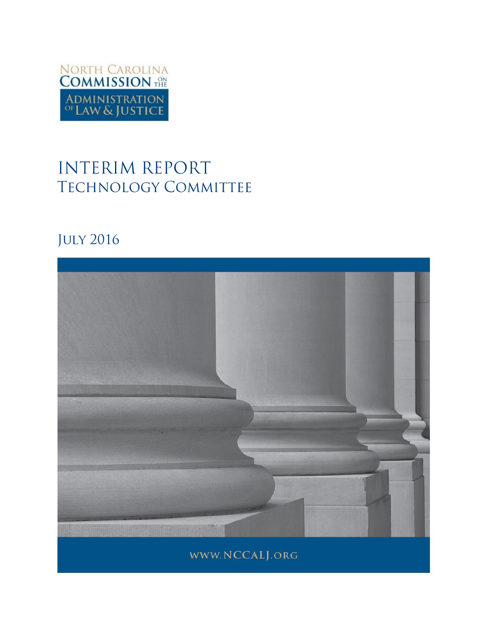

# **INTERIM REPORT TECHNOLOGY COMMITTEE**

# **JULY 2016**

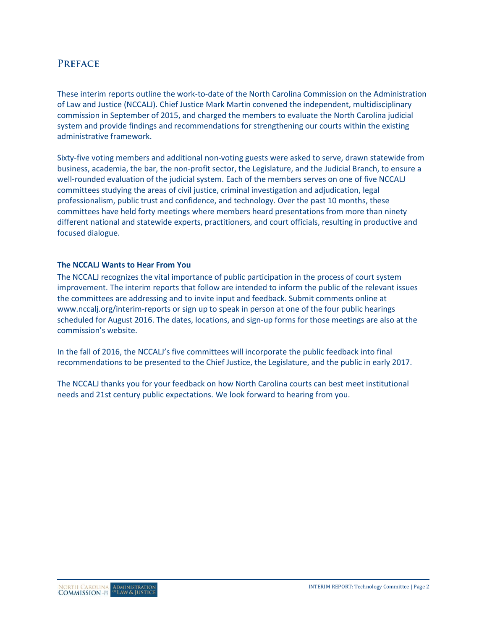# **PREFACE**

These interim reports outline the work-to-date of the North Carolina Commission on the Administration of Law and Justice (NCCALJ). Chief Justice Mark Martin convened the independent, multidisciplinary commission in September of 2015, and charged the members to evaluate the North Carolina judicial system and provide findings and recommendations for strengthening our courts within the existing administrative framework.

Sixty-five voting members and additional non-voting guests were asked to serve, drawn statewide from business, academia, the bar, the non-profit sector, the Legislature, and the Judicial Branch, to ensure a well-rounded evaluation of the judicial system. Each of the members serves on one of five NCCALJ committees studying the areas of civil justice, criminal investigation and adjudication, legal professionalism, public trust and confidence, and technology. Over the past 10 months, these committees have held forty meetings where members heard presentations from more than ninety different national and statewide experts, practitioners, and court officials, resulting in productive and focused dialogue.

## **The NCCALJ Wants to Hear From You**

The NCCALJ recognizes the vital importance of public participation in the process of court system improvement. The interim reports that follow are intended to inform the public of the relevant issues the committees are addressing and to invite input and feedback. Submit comments online at [www.nccalj.org/interim-reports](file://wfs01.aoc.nccourts.org/Network_Folders/UNIT_Communications/Courts/Session%20Comms/Commission%20on%20the%20Administration%20of%20Law%20and%20Justice/Reports/www.nccalj.org/interim-reports) or sign up to speak in person at one of the four public hearings scheduled for August 2016. The dates, locations, and sign-up forms for those meetings are also at the commission's website.

In the fall of 2016, the NCCALJ's five committees will incorporate the public feedback into final recommendations to be presented to the Chief Justice, the Legislature, and the public in early 2017.

The NCCALJ thanks you for your feedback on how North Carolina courts can best meet institutional needs and 21st century public expectations. We look forward to hearing from you.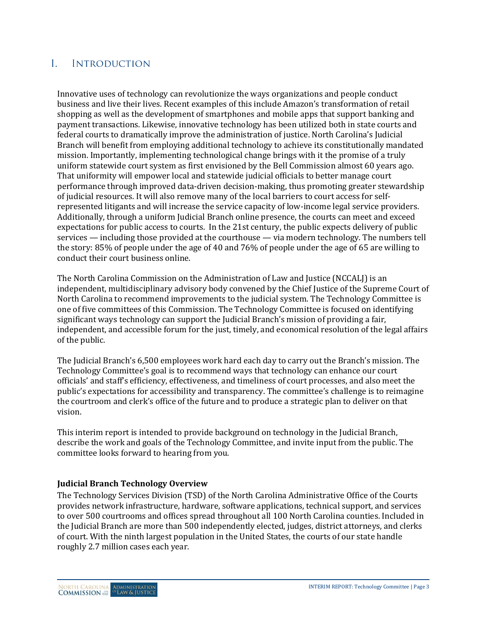#### $\mathbf{I}$ **INTRODUCTION**

Innovative uses of technology can revolutionize the ways organizations and people conduct business and live their lives. Recent examples of this include Amazon's transformation of retail shopping as well as the development of smartphones and mobile apps that support banking and payment transactions. Likewise, innovative technology has been utilized both in state courts and federal courts to dramatically improve the administration of justice. North Carolina's Judicial Branch will benefit from employing additional technology to achieve its constitutionally mandated mission. Importantly, implementing technological change brings with it the promise of a truly uniform statewide court system as first envisioned by the Bell Commission almost 60 years ago. That uniformity will empower local and statewide judicial officials to better manage court performance through improved data-driven decision-making, thus promoting greater stewardship of judicial resources. It will also remove many of the local barriers to court access for selfrepresented litigants and will increase the service capacity of low-income legal service providers. Additionally, through a uniform Judicial Branch online presence, the courts can meet and exceed expectations for public access to courts. In the 21st century, the public expects delivery of public services — including those provided at the courthouse — via modern technology. The numbers tell the story: 85% of people under the age of 40 and 76% of people under the age of 65 are willing to conduct their court business online.

The North Carolina Commission on the Administration of Law and Justice (NCCALJ) is an independent, multidisciplinary advisory body convened by the Chief Justice of the Supreme Court of North Carolina to recommend improvements to the judicial system. The Technology Committee is one of five committees of this Commission. The Technology Committee is focused on identifying significant ways technology can support the Judicial Branch's mission of providing a fair, independent, and accessible forum for the just, timely, and economical resolution of the legal affairs of the public.

The Judicial Branch's 6,500 employees work hard each day to carry out the Branch's mission. The Technology Committee's goal is to recommend ways that technology can enhance our court officials' and staff's efficiency, effectiveness, and timeliness of court processes, and also meet the public's expectations for accessibility and transparency. The committee's challenge is to reimagine the courtroom and clerk's office of the future and to produce a strategic plan to deliver on that vision.

This interim report is intended to provide background on technology in the Judicial Branch, describe the work and goals of the Technology Committee, and invite input from the public. The committee looks forward to hearing from you.

# **Judicial Branch Technology Overview**

The Technology Services Division (TSD) of the North Carolina Administrative Office of the Courts provides network infrastructure, hardware, software applications, technical support, and services to over 500 courtrooms and offices spread throughout all 100 North Carolina counties. Included in the Judicial Branch are more than 500 independently elected, judges, district attorneys, and clerks of court. With the ninth largest population in the United States, the courts of our state handle roughly 2.7 million cases each year.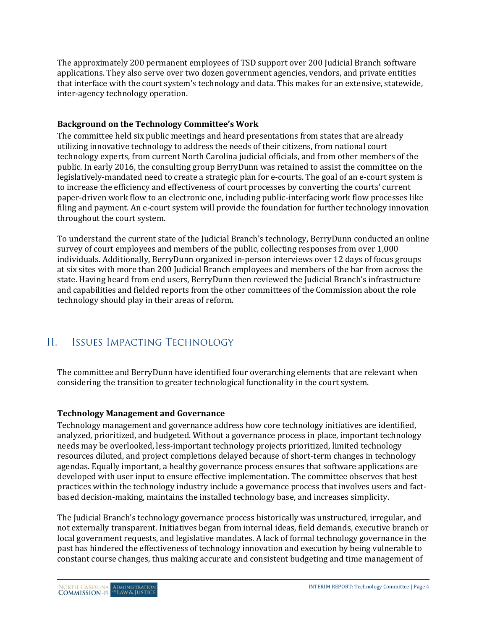The approximately 200 permanent employees of TSD support over 200 Judicial Branch software applications. They also serve over two dozen government agencies, vendors, and private entities that interface with the court system's technology and data. This makes for an extensive, statewide, inter-agency technology operation.

# **Background on the Technology Committee's Work**

The committee held six public meetings and heard presentations from states that are already utilizing innovative technology to address the needs of their citizens, from national court technology experts, from current North Carolina judicial officials, and from other members of the public. In early 2016, the consulting group BerryDunn was retained to assist the committee on the legislatively-mandated need to create a strategic plan for e-courts. The goal of an e-court system is to increase the efficiency and effectiveness of court processes by converting the courts' current paper-driven work flow to an electronic one, including public-interfacing work flow processes like filing and payment. An e-court system will provide the foundation for further technology innovation throughout the court system.

To understand the current state of the Judicial Branch's technology, BerryDunn conducted an online survey of court employees and members of the public, collecting responses from over 1,000 individuals. Additionally, BerryDunn organized in-person interviews over 12 days of focus groups at six sites with more than 200 Judicial Branch employees and members of the bar from across the state. Having heard from end users, BerryDunn then reviewed the Judicial Branch's infrastructure and capabilities and fielded reports from the other committees of the Commission about the role technology should play in their areas of reform.

#### $II.$ **ISSUES IMPACTING TECHNOLOGY**

The committee and BerryDunn have identified four overarching elements that are relevant when considering the transition to greater technological functionality in the court system.

# **Technology Management and Governance**

Technology management and governance address how core technology initiatives are identified, analyzed, prioritized, and budgeted. Without a governance process in place, important technology needs may be overlooked, less-important technology projects prioritized, limited technology resources diluted, and project completions delayed because of short-term changes in technology agendas. Equally important, a healthy governance process ensures that software applications are developed with user input to ensure effective implementation. The committee observes that best practices within the technology industry include a governance process that involves users and factbased decision-making, maintains the installed technology base, and increases simplicity.

The Judicial Branch's technology governance process historically was unstructured, irregular, and not externally transparent. Initiatives began from internal ideas, field demands, executive branch or local government requests, and legislative mandates. A lack of formal technology governance in the past has hindered the effectiveness of technology innovation and execution by being vulnerable to constant course changes, thus making accurate and consistent budgeting and time management of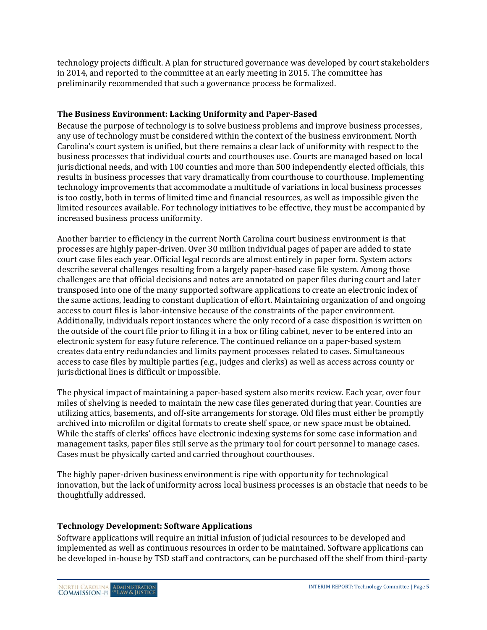technology projects difficult. A plan for structured governance was developed by court stakeholders in 2014, and reported to the committee at an early meeting in 2015. The committee has preliminarily recommended that such a governance process be formalized.

# **The Business Environment: Lacking Uniformity and Paper-Based**

Because the purpose of technology is to solve business problems and improve business processes, any use of technology must be considered within the context of the business environment. North Carolina's court system is unified, but there remains a clear lack of uniformity with respect to the business processes that individual courts and courthouses use. Courts are managed based on local jurisdictional needs, and with 100 counties and more than 500 independently elected officials, this results in business processes that vary dramatically from courthouse to courthouse. Implementing technology improvements that accommodate a multitude of variations in local business processes is too costly, both in terms of limited time and financial resources, as well as impossible given the limited resources available. For technology initiatives to be effective, they must be accompanied by increased business process uniformity.

Another barrier to efficiency in the current North Carolina court business environment is that processes are highly paper-driven. Over 30 million individual pages of paper are added to state court case files each year. Official legal records are almost entirely in paper form. System actors describe several challenges resulting from a largely paper-based case file system. Among those challenges are that official decisions and notes are annotated on paper files during court and later transposed into one of the many supported software applications to create an electronic index of the same actions, leading to constant duplication of effort. Maintaining organization of and ongoing access to court files is labor-intensive because of the constraints of the paper environment. Additionally, individuals report instances where the only record of a case disposition is written on the outside of the court file prior to filing it in a box or filing cabinet, never to be entered into an electronic system for easy future reference. The continued reliance on a paper-based system creates data entry redundancies and limits payment processes related to cases. Simultaneous access to case files by multiple parties (e.g., judges and clerks) as well as access across county or jurisdictional lines is difficult or impossible.

The physical impact of maintaining a paper-based system also merits review. Each year, over four miles of shelving is needed to maintain the new case files generated during that year. Counties are utilizing attics, basements, and off-site arrangements for storage. Old files must either be promptly archived into microfilm or digital formats to create shelf space, or new space must be obtained. While the staffs of clerks' offices have electronic indexing systems for some case information and management tasks, paper files still serve as the primary tool for court personnel to manage cases. Cases must be physically carted and carried throughout courthouses.

The highly paper-driven business environment is ripe with opportunity for technological innovation, but the lack of uniformity across local business processes is an obstacle that needs to be thoughtfully addressed.

# **Technology Development: Software Applications**

Software applications will require an initial infusion of judicial resources to be developed and implemented as well as continuous resources in order to be maintained. Software applications can be developed in-house by TSD staff and contractors, can be purchased off the shelf from third-party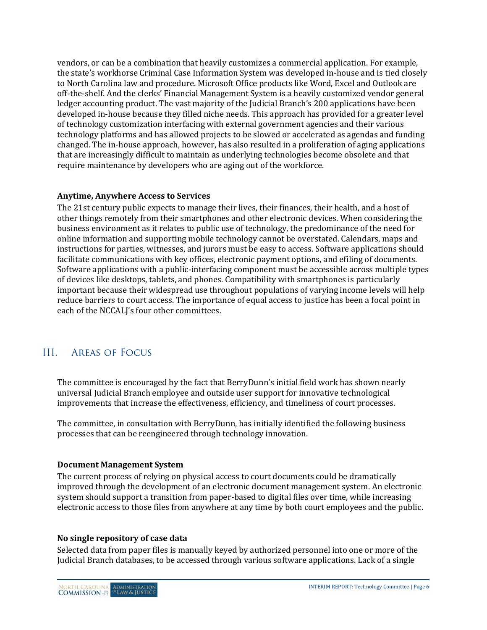vendors, or can be a combination that heavily customizes a commercial application. For example, the state's workhorse Criminal Case Information System was developed in-house and is tied closely to North Carolina law and procedure. Microsoft Office products like Word, Excel and Outlook are off-the-shelf. And the clerks' Financial Management System is a heavily customized vendor general ledger accounting product. The vast majority of the Judicial Branch's 200 applications have been developed in-house because they filled niche needs. This approach has provided for a greater level of technology customization interfacing with external government agencies and their various technology platforms and has allowed projects to be slowed or accelerated as agendas and funding changed. The in-house approach, however, has also resulted in a proliferation of aging applications that are increasingly difficult to maintain as underlying technologies become obsolete and that require maintenance by developers who are aging out of the workforce.

## **Anytime, Anywhere Access to Services**

The 21st century public expects to manage their lives, their finances, their health, and a host of other things remotely from their smartphones and other electronic devices. When considering the business environment as it relates to public use of technology, the predominance of the need for online information and supporting mobile technology cannot be overstated. Calendars, maps and instructions for parties, witnesses, and jurors must be easy to access. Software applications should facilitate communications with key offices, electronic payment options, and efiling of documents. Software applications with a public-interfacing component must be accessible across multiple types of devices like desktops, tablets, and phones. Compatibility with smartphones is particularly important because their widespread use throughout populations of varying income levels will help reduce barriers to court access. The importance of equal access to justice has been a focal point in each of the NCCALJ's four other committees.

#### $III.$ **AREAS OF FOCUS**

The committee is encouraged by the fact that BerryDunn's initial field work has shown nearly universal Judicial Branch employee and outside user support for innovative technological improvements that increase the effectiveness, efficiency, and timeliness of court processes.

The committee, in consultation with BerryDunn, has initially identified the following business processes that can be reengineered through technology innovation.

## **Document Management System**

The current process of relying on physical access to court documents could be dramatically improved through the development of an electronic document management system. An electronic system should support a transition from paper-based to digital files over time, while increasing electronic access to those files from anywhere at any time by both court employees and the public.

## **No single repository of case data**

Selected data from paper files is manually keyed by authorized personnel into one or more of the Judicial Branch databases, to be accessed through various software applications. Lack of a single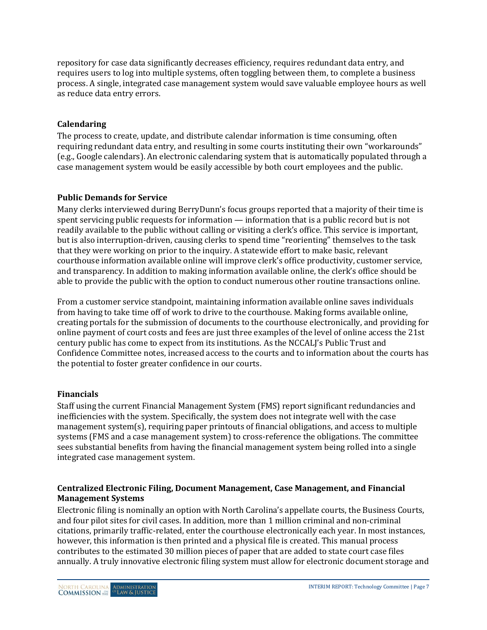repository for case data significantly decreases efficiency, requires redundant data entry, and requires users to log into multiple systems, often toggling between them, to complete a business process. A single, integrated case management system would save valuable employee hours as well as reduce data entry errors.

# **Calendaring**

The process to create, update, and distribute calendar information is time consuming, often requiring redundant data entry, and resulting in some courts instituting their own "workarounds" (e.g., Google calendars). An electronic calendaring system that is automatically populated through a case management system would be easily accessible by both court employees and the public.

## **Public Demands for Service**

Many clerks interviewed during BerryDunn's focus groups reported that a majority of their time is spent servicing public requests for information — information that is a public record but is not readily available to the public without calling or visiting a clerk's office. This service is important, but is also interruption-driven, causing clerks to spend time "reorienting" themselves to the task that they were working on prior to the inquiry. A statewide effort to make basic, relevant courthouse information available online will improve clerk's office productivity, customer service, and transparency. In addition to making information available online, the clerk's office should be able to provide the public with the option to conduct numerous other routine transactions online.

From a customer service standpoint, maintaining information available online saves individuals from having to take time off of work to drive to the courthouse. Making forms available online, creating portals for the submission of documents to the courthouse electronically, and providing for online payment of court costs and fees are just three examples of the level of online access the 21st century public has come to expect from its institutions. As the NCCALJ's Public Trust and Confidence Committee notes, increased access to the courts and to information about the courts has the potential to foster greater confidence in our courts.

# **Financials**

Staff using the current Financial Management System (FMS) report significant redundancies and inefficiencies with the system. Specifically, the system does not integrate well with the case management system(s), requiring paper printouts of financial obligations, and access to multiple systems (FMS and a case management system) to cross-reference the obligations. The committee sees substantial benefits from having the financial management system being rolled into a single integrated case management system.

## **Centralized Electronic Filing, Document Management, Case Management, and Financial Management Systems**

Electronic filing is nominally an option with North Carolina's appellate courts, the Business Courts, and four pilot sites for civil cases. In addition, more than 1 million criminal and non-criminal citations, primarily traffic-related, enter the courthouse electronically each year. In most instances, however, this information is then printed and a physical file is created. This manual process contributes to the estimated 30 million pieces of paper that are added to state court case files annually. A truly innovative electronic filing system must allow for electronic document storage and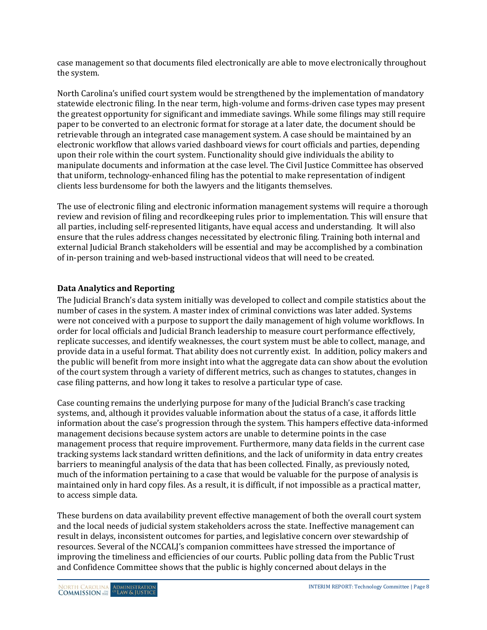case management so that documents filed electronically are able to move electronically throughout the system.

North Carolina's unified court system would be strengthened by the implementation of mandatory statewide electronic filing. In the near term, high-volume and forms-driven case types may present the greatest opportunity for significant and immediate savings. While some filings may still require paper to be converted to an electronic format for storage at a later date, the document should be retrievable through an integrated case management system. A case should be maintained by an electronic workflow that allows varied dashboard views for court officials and parties, depending upon their role within the court system. Functionality should give individuals the ability to manipulate documents and information at the case level. The Civil Justice Committee has observed that uniform, technology-enhanced filing has the potential to make representation of indigent clients less burdensome for both the lawyers and the litigants themselves.

The use of electronic filing and electronic information management systems will require a thorough review and revision of filing and recordkeeping rules prior to implementation. This will ensure that all parties, including self-represented litigants, have equal access and understanding. It will also ensure that the rules address changes necessitated by electronic filing. Training both internal and external Judicial Branch stakeholders will be essential and may be accomplished by a combination of in-person training and web-based instructional videos that will need to be created.

# **Data Analytics and Reporting**

The Judicial Branch's data system initially was developed to collect and compile statistics about the number of cases in the system. A master index of criminal convictions was later added. Systems were not conceived with a purpose to support the daily management of high volume workflows. In order for local officials and Judicial Branch leadership to measure court performance effectively, replicate successes, and identify weaknesses, the court system must be able to collect, manage, and provide data in a useful format. That ability does not currently exist. In addition, policy makers and the public will benefit from more insight into what the aggregate data can show about the evolution of the court system through a variety of different metrics, such as changes to statutes, changes in case filing patterns, and how long it takes to resolve a particular type of case.

Case counting remains the underlying purpose for many of the Judicial Branch's case tracking systems, and, although it provides valuable information about the status of a case, it affords little information about the case's progression through the system. This hampers effective data-informed management decisions because system actors are unable to determine points in the case management process that require improvement. Furthermore, many data fields in the current case tracking systems lack standard written definitions, and the lack of uniformity in data entry creates barriers to meaningful analysis of the data that has been collected. Finally, as previously noted, much of the information pertaining to a case that would be valuable for the purpose of analysis is maintained only in hard copy files. As a result, it is difficult, if not impossible as a practical matter, to access simple data.

These burdens on data availability prevent effective management of both the overall court system and the local needs of judicial system stakeholders across the state. Ineffective management can result in delays, inconsistent outcomes for parties, and legislative concern over stewardship of resources. Several of the NCCALJ's companion committees have stressed the importance of improving the timeliness and efficiencies of our courts. Public polling data from the Public Trust and Confidence Committee shows that the public is highly concerned about delays in the